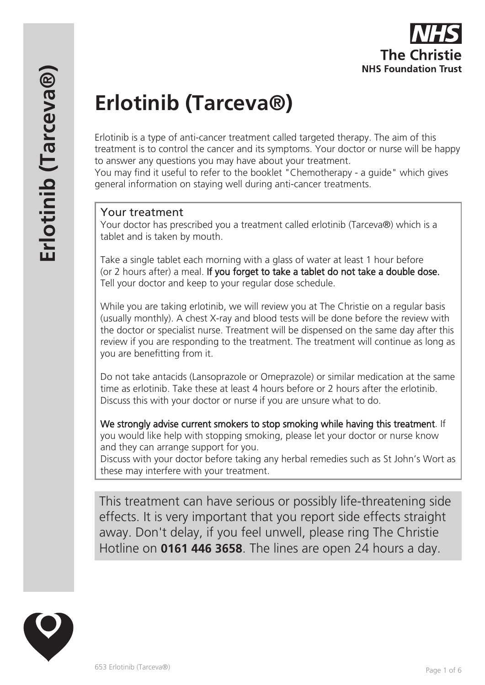# **Erlotinib (Tarceva®)**

Erlotinib is a type of anti-cancer treatment called targeted therapy. The aim of this treatment is to control the cancer and its symptoms. Your doctor or nurse will be happy to answer any questions you may have about your treatment.

You may find it useful to refer to the booklet "Chemotherapy - a guide" which gives general information on staying well during anti-cancer treatments.

#### Your treatment

Your doctor has prescribed you a treatment called erlotinib (Tarceva®) which is a tablet and is taken by mouth.

Take a single tablet each morning with a glass of water at least 1 hour before (or 2 hours after) a meal. If you forget to take a tablet do not take a double dose. Tell your doctor and keep to your regular dose schedule.

While you are taking erlotinib, we will review you at The Christie on a regular basis (usually monthly). A chest X-ray and blood tests will be done before the review with the doctor or specialist nurse. Treatment will be dispensed on the same day after this review if you are responding to the treatment. The treatment will continue as long as you are benefitting from it.

Do not take antacids (Lansoprazole or Omeprazole) or similar medication at the same time as erlotinib. Take these at least 4 hours before or 2 hours after the erlotinib. Discuss this with your doctor or nurse if you are unsure what to do.

We strongly advise current smokers to stop smoking while having this treatment. If you would like help with stopping smoking, please let your doctor or nurse know and they can arrange support for you.

Discuss with your doctor before taking any herbal remedies such as St John's Wort as these may interfere with your treatment.

This treatment can have serious or possibly life-threatening side effects. It is very important that you report side effects straight away. Don't delay, if you feel unwell, please ring The Christie Hotline on **0161 446 3658**. The lines are open 24 hours a day.

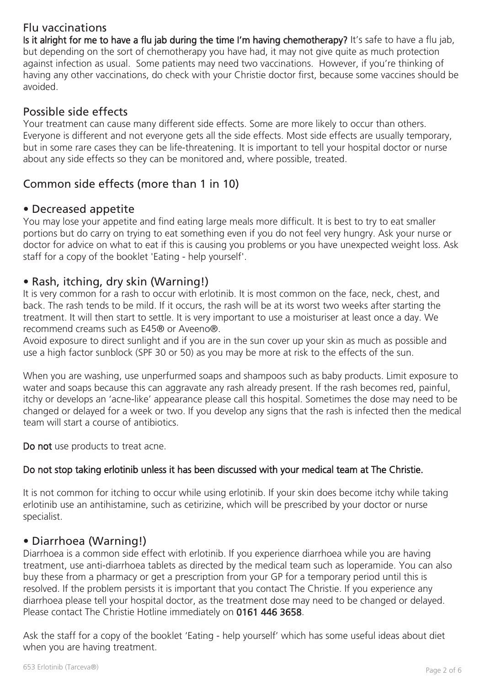# Flu vaccinations

Is it alright for me to have a flu jab during the time I'm having chemotherapy? It's safe to have a flu jab, but depending on the sort of chemotherapy you have had, it may not give quite as much protection against infection as usual. Some patients may need two vaccinations. However, if you're thinking of having any other vaccinations, do check with your Christie doctor first, because some vaccines should be avoided.

## Possible side effects

Your treatment can cause many different side effects. Some are more likely to occur than others. Everyone is different and not everyone gets all the side effects. Most side effects are usually temporary, but in some rare cases they can be life-threatening. It is important to tell your hospital doctor or nurse about any side effects so they can be monitored and, where possible, treated.

# Common side effects (more than 1 in 10)

#### • Decreased appetite

You may lose your appetite and find eating large meals more difficult. It is best to try to eat smaller portions but do carry on trying to eat something even if you do not feel very hungry. Ask your nurse or doctor for advice on what to eat if this is causing you problems or you have unexpected weight loss. Ask staff for a copy of the booklet 'Eating - help yourself'.

## • Rash, itching, dry skin (Warning!)

It is very common for a rash to occur with erlotinib. It is most common on the face, neck, chest, and back. The rash tends to be mild. If it occurs, the rash will be at its worst two weeks after starting the treatment. It will then start to settle. It is very important to use a moisturiser at least once a day. We recommend creams such as E45® or Aveeno®.

Avoid exposure to direct sunlight and if you are in the sun cover up your skin as much as possible and use a high factor sunblock (SPF 30 or 50) as you may be more at risk to the effects of the sun.

When you are washing, use unperfurmed soaps and shampoos such as baby products. Limit exposure to water and soaps because this can aggravate any rash already present. If the rash becomes red, painful, itchy or develops an 'acne-like' appearance please call this hospital. Sometimes the dose may need to be changed or delayed for a week or two. If you develop any signs that the rash is infected then the medical team will start a course of antibiotics.

Do not use products to treat acne.

#### Do not stop taking erlotinib unless it has been discussed with your medical team at The Christie.

It is not common for itching to occur while using erlotinib. If your skin does become itchy while taking erlotinib use an antihistamine, such as cetirizine, which will be prescribed by your doctor or nurse specialist.

## • Diarrhoea (Warning!)

Diarrhoea is a common side effect with erlotinib. If you experience diarrhoea while you are having treatment, use anti-diarrhoea tablets as directed by the medical team such as loperamide. You can also buy these from a pharmacy or get a prescription from your GP for a temporary period until this is resolved. If the problem persists it is important that you contact The Christie. If you experience any diarrhoea please tell your hospital doctor, as the treatment dose may need to be changed or delayed. Please contact The Christie Hotline immediately on 0161 446 3658.

Ask the staff for a copy of the booklet 'Eating - help yourself' which has some useful ideas about diet when you are having treatment.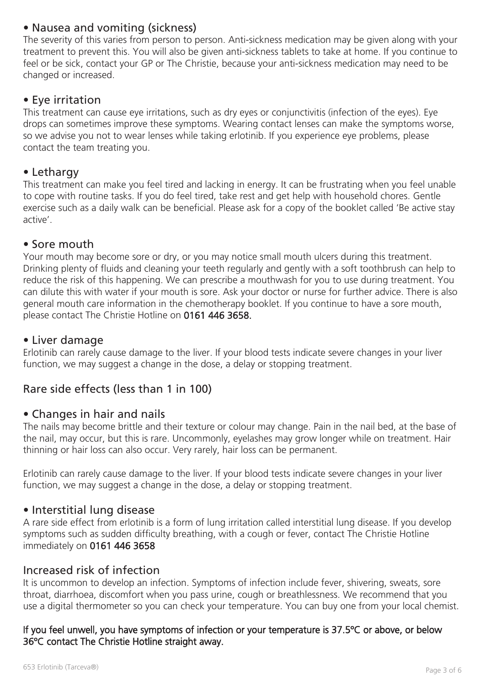## • Nausea and vomiting (sickness)

The severity of this varies from person to person. Anti-sickness medication may be given along with your treatment to prevent this. You will also be given anti-sickness tablets to take at home. If you continue to feel or be sick, contact your GP or The Christie, because your anti-sickness medication may need to be changed or increased.

## • Eye irritation

This treatment can cause eye irritations, such as dry eyes or conjunctivitis (infection of the eyes). Eye drops can sometimes improve these symptoms. Wearing contact lenses can make the symptoms worse, so we advise you not to wear lenses while taking erlotinib. If you experience eye problems, please contact the team treating you.

#### • Lethargy

This treatment can make you feel tired and lacking in energy. It can be frustrating when you feel unable to cope with routine tasks. If you do feel tired, take rest and get help with household chores. Gentle exercise such as a daily walk can be beneficial. Please ask for a copy of the booklet called 'Be active stay active'.

#### • Sore mouth

Your mouth may become sore or dry, or you may notice small mouth ulcers during this treatment. Drinking plenty of fluids and cleaning your teeth regularly and gently with a soft toothbrush can help to reduce the risk of this happening. We can prescribe a mouthwash for you to use during treatment. You can dilute this with water if your mouth is sore. Ask your doctor or nurse for further advice. There is also general mouth care information in the chemotherapy booklet. If you continue to have a sore mouth, please contact The Christie Hotline on 0161 446 3658.

#### • Liver damage

Erlotinib can rarely cause damage to the liver. If your blood tests indicate severe changes in your liver function, we may suggest a change in the dose, a delay or stopping treatment.

## Rare side effects (less than 1 in 100)

#### • Changes in hair and nails

The nails may become brittle and their texture or colour may change. Pain in the nail bed, at the base of the nail, may occur, but this is rare. Uncommonly, eyelashes may grow longer while on treatment. Hair thinning or hair loss can also occur. Very rarely, hair loss can be permanent.

Erlotinib can rarely cause damage to the liver. If your blood tests indicate severe changes in your liver function, we may suggest a change in the dose, a delay or stopping treatment.

#### • Interstitial lung disease

A rare side effect from erlotinib is a form of lung irritation called interstitial lung disease. If you develop symptoms such as sudden difficulty breathing, with a cough or fever, contact The Christie Hotline immediately on 0161 446 3658

#### Increased risk of infection

It is uncommon to develop an infection. Symptoms of infection include fever, shivering, sweats, sore throat, diarrhoea, discomfort when you pass urine, cough or breathlessness. We recommend that you use a digital thermometer so you can check your temperature. You can buy one from your local chemist.

#### If you feel unwell, you have symptoms of infection or your temperature is 37.5ºC or above, or below 36ºC contact The Christie Hotline straight away.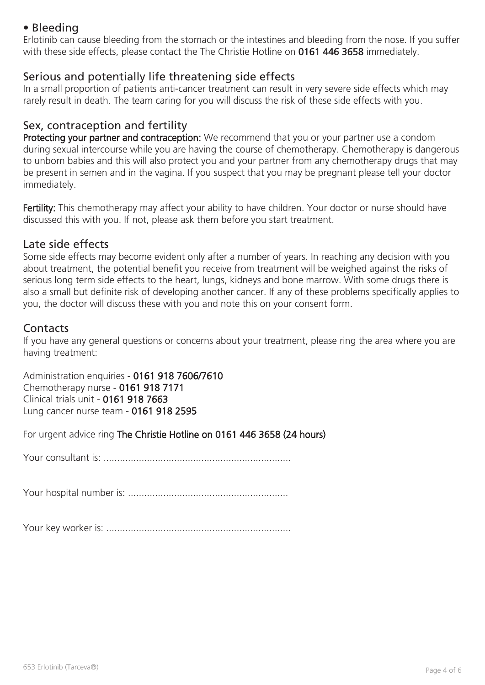# • Bleeding

Erlotinib can cause bleeding from the stomach or the intestines and bleeding from the nose. If you suffer with these side effects, please contact the The Christie Hotline on 0161 446 3658 immediately.

#### Serious and potentially life threatening side effects

In a small proportion of patients anti-cancer treatment can result in very severe side effects which may rarely result in death. The team caring for you will discuss the risk of these side effects with you.

## Sex, contraception and fertility

Protecting your partner and contraception: We recommend that you or your partner use a condom during sexual intercourse while you are having the course of chemotherapy. Chemotherapy is dangerous to unborn babies and this will also protect you and your partner from any chemotherapy drugs that may be present in semen and in the vagina. If you suspect that you may be pregnant please tell your doctor immediately.

Fertility: This chemotherapy may affect your ability to have children. Your doctor or nurse should have discussed this with you. If not, please ask them before you start treatment.

#### Late side effects

Some side effects may become evident only after a number of years. In reaching any decision with you about treatment, the potential benefit you receive from treatment will be weighed against the risks of serious long term side effects to the heart, lungs, kidneys and bone marrow. With some drugs there is also a small but definite risk of developing another cancer. If any of these problems specifically applies to you, the doctor will discuss these with you and note this on your consent form.

#### **Contacts**

If you have any general questions or concerns about your treatment, please ring the area where you are having treatment:

Administration enquiries - 0161 918 7606/7610 Chemotherapy nurse - 0161 918 7171 Clinical trials unit - 0161 918 7663 Lung cancer nurse team - 0161 918 2595

For urgent advice ring The Christie Hotline on 0161 446 3658 (24 hours)

Your consultant is: .....................................................................

Your hospital number is: ...........................................................

Your key worker is: ....................................................................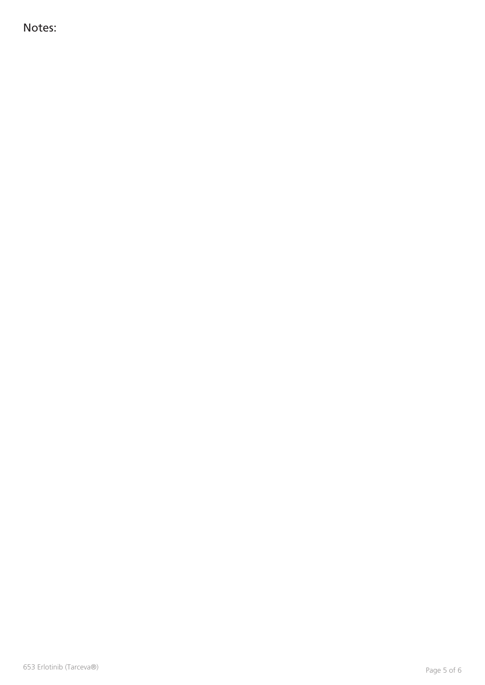Notes: